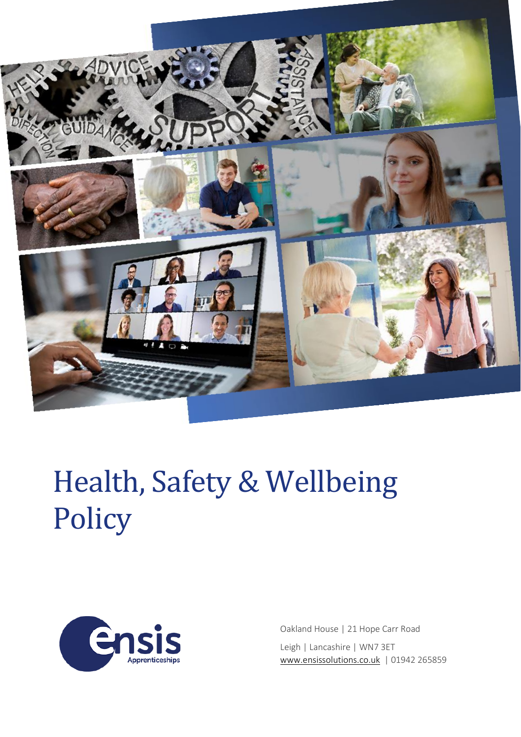

# Health, Safety & Wellbeing **Policy**



Oakland House | 21 Hope Carr Road Leigh | Lancashire | WN7 3ET [www.ensissolutions.co.uk](http://www.ensissolutions.co.uk/) | 01942 265859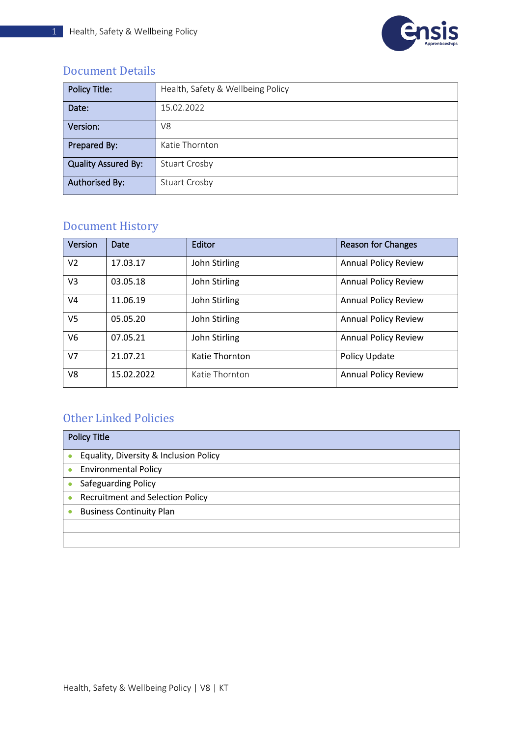

### Document Details

| <b>Policy Title:</b>       | Health, Safety & Wellbeing Policy |
|----------------------------|-----------------------------------|
| Date:                      | 15.02.2022                        |
| Version:                   | V8                                |
| Prepared By:               | Katie Thornton                    |
| <b>Quality Assured By:</b> | <b>Stuart Crosby</b>              |
| <b>Authorised By:</b>      | <b>Stuart Crosby</b>              |

### Document History

| Version        | Date       | Editor         | <b>Reason for Changes</b>   |
|----------------|------------|----------------|-----------------------------|
| V <sub>2</sub> | 17.03.17   | John Stirling  | <b>Annual Policy Review</b> |
| V3             | 03.05.18   | John Stirling  | <b>Annual Policy Review</b> |
| V4             | 11.06.19   | John Stirling  | <b>Annual Policy Review</b> |
| V <sub>5</sub> | 05.05.20   | John Stirling  | <b>Annual Policy Review</b> |
| V <sub>6</sub> | 07.05.21   | John Stirling  | <b>Annual Policy Review</b> |
| V <sub>7</sub> | 21.07.21   | Katie Thornton | Policy Update               |
| V8             | 15.02.2022 | Katie Thornton | <b>Annual Policy Review</b> |

## Other Linked Policies

| <b>Policy Title</b> |                                         |  |
|---------------------|-----------------------------------------|--|
|                     | Equality, Diversity & Inclusion Policy  |  |
|                     | <b>Environmental Policy</b>             |  |
|                     | <b>Safeguarding Policy</b>              |  |
|                     | <b>Recruitment and Selection Policy</b> |  |
|                     | <b>Business Continuity Plan</b>         |  |
|                     |                                         |  |
|                     |                                         |  |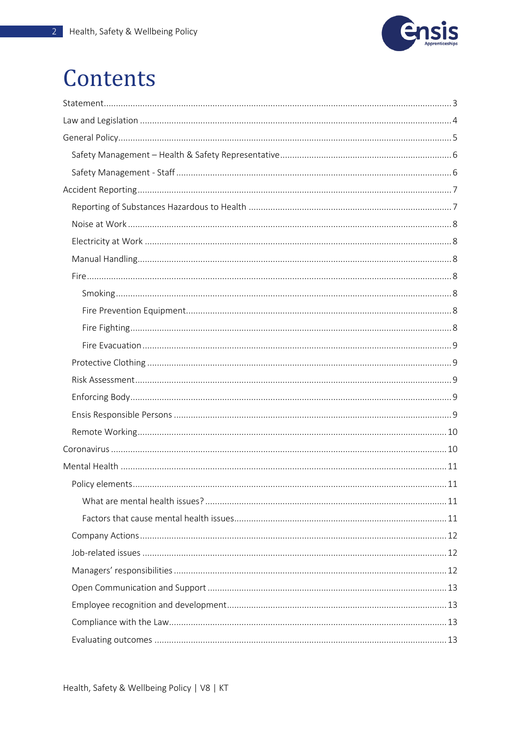

# Contents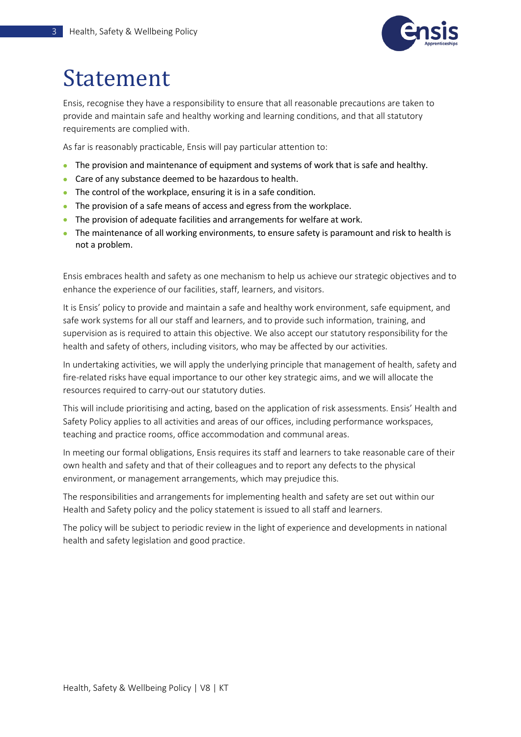

# <span id="page-3-0"></span>Statement

Ensis, recognise they have a responsibility to ensure that all reasonable precautions are taken to provide and maintain safe and healthy working and learning conditions, and that all statutory requirements are complied with.

As far is reasonably practicable, Ensis will pay particular attention to:

- The provision and maintenance of equipment and systems of work that is safe and healthy.
- Care of any substance deemed to be hazardous to health.
- The control of the workplace, ensuring it is in a safe condition.
- The provision of a safe means of access and egress from the workplace.
- The provision of adequate facilities and arrangements for welfare at work.
- The maintenance of all working environments, to ensure safety is paramount and risk to health is not a problem.

Ensis embraces health and safety as one mechanism to help us achieve our strategic objectives and to enhance the experience of our facilities, staff, learners, and visitors.

It is Ensis' policy to provide and maintain a safe and healthy work environment, safe equipment, and safe work systems for all our staff and learners, and to provide such information, training, and supervision as is required to attain this objective. We also accept our statutory responsibility for the health and safety of others, including visitors, who may be affected by our activities.

In undertaking activities, we will apply the underlying principle that management of health, safety and fire-related risks have equal importance to our other key strategic aims, and we will allocate the resources required to carry-out our statutory duties.

This will include prioritising and acting, based on the application of risk assessments. Ensis' Health and Safety Policy applies to all activities and areas of our offices, including performance workspaces, teaching and practice rooms, office accommodation and communal areas.

In meeting our formal obligations, Ensis requires its staff and learners to take reasonable care of their own health and safety and that of their colleagues and to report any defects to the physical environment, or management arrangements, which may prejudice this.

The responsibilities and arrangements for implementing health and safety are set out within our Health and Safety policy and the policy statement is issued to all staff and learners.

The policy will be subject to periodic review in the light of experience and developments in national health and safety legislation and good practice.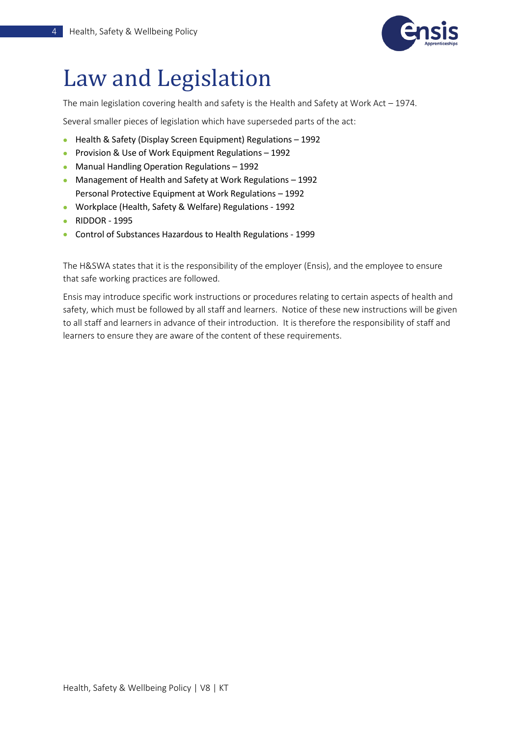

# <span id="page-4-0"></span>Law and Legislation

The main legislation covering health and safety is the Health and Safety at Work Act – 1974.

Several smaller pieces of legislation which have superseded parts of the act:

- Health & Safety (Display Screen Equipment) Regulations 1992
- Provision & Use of Work Equipment Regulations 1992
- Manual Handling Operation Regulations 1992
- Management of Health and Safety at Work Regulations 1992 Personal Protective Equipment at Work Regulations – 1992
- Workplace (Health, Safety & Welfare) Regulations 1992
- RIDDOR 1995
- Control of Substances Hazardous to Health Regulations 1999

The H&SWA states that it is the responsibility of the employer (Ensis), and the employee to ensure that safe working practices are followed.

Ensis may introduce specific work instructions or procedures relating to certain aspects of health and safety, which must be followed by all staff and learners. Notice of these new instructions will be given to all staff and learners in advance of their introduction. It is therefore the responsibility of staff and learners to ensure they are aware of the content of these requirements.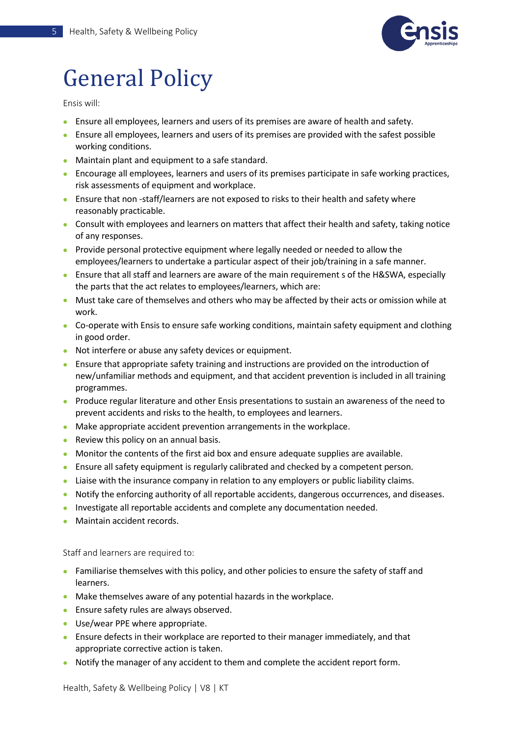

# <span id="page-5-0"></span>General Policy

Ensis will:

- Ensure all employees, learners and users of its premises are aware of health and safety.
- Ensure all employees, learners and users of its premises are provided with the safest possible working conditions.
- Maintain plant and equipment to a safe standard.
- Encourage all employees, learners and users of its premises participate in safe working practices, risk assessments of equipment and workplace.
- Ensure that non -staff/learners are not exposed to risks to their health and safety where reasonably practicable.
- Consult with employees and learners on matters that affect their health and safety, taking notice of any responses.
- Provide personal protective equipment where legally needed or needed to allow the employees/learners to undertake a particular aspect of their job/training in a safe manner.
- Ensure that all staff and learners are aware of the main requirement s of the H&SWA, especially the parts that the act relates to employees/learners, which are:
- Must take care of themselves and others who may be affected by their acts or omission while at work.
- Co-operate with Ensis to ensure safe working conditions, maintain safety equipment and clothing in good order.
- Not interfere or abuse any safety devices or equipment.
- Ensure that appropriate safety training and instructions are provided on the introduction of new/unfamiliar methods and equipment, and that accident prevention is included in all training programmes.
- Produce regular literature and other Ensis presentations to sustain an awareness of the need to prevent accidents and risks to the health, to employees and learners.
- Make appropriate accident prevention arrangements in the workplace.
- Review this policy on an annual basis.
- Monitor the contents of the first aid box and ensure adequate supplies are available.
- Ensure all safety equipment is regularly calibrated and checked by a competent person.
- Liaise with the insurance company in relation to any employers or public liability claims.
- Notify the enforcing authority of all reportable accidents, dangerous occurrences, and diseases.
- Investigate all reportable accidents and complete any documentation needed.
- Maintain accident records.

Staff and learners are required to:

- Familiarise themselves with this policy, and other policies to ensure the safety of staff and learners.
- Make themselves aware of any potential hazards in the workplace.
- Ensure safety rules are always observed.
- Use/wear PPE where appropriate.
- Ensure defects in their workplace are reported to their manager immediately, and that appropriate corrective action is taken.
- Notify the manager of any accident to them and complete the accident report form.

Health, Safety & Wellbeing Policy | V8 | KT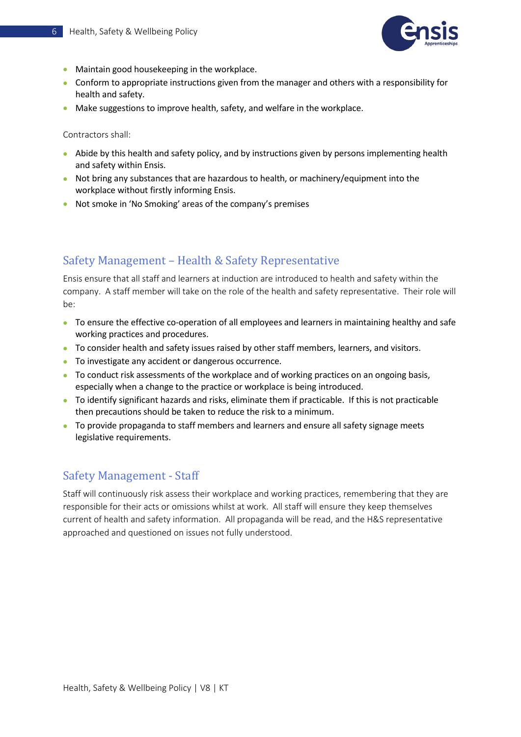

- Maintain good housekeeping in the workplace.
- Conform to appropriate instructions given from the manager and others with a responsibility for health and safety.
- Make suggestions to improve health, safety, and welfare in the workplace.

Contractors shall:

- Abide by this health and safety policy, and by instructions given by persons implementing health and safety within Ensis.
- Not bring any substances that are hazardous to health, or machinery/equipment into the workplace without firstly informing Ensis.
- Not smoke in 'No Smoking' areas of the company's premises

### <span id="page-6-0"></span>Safety Management – Health & Safety Representative

Ensis ensure that all staff and learners at induction are introduced to health and safety within the company. A staff member will take on the role of the health and safety representative. Their role will be:

- To ensure the effective co-operation of all employees and learners in maintaining healthy and safe working practices and procedures.
- To consider health and safety issues raised by other staff members, learners, and visitors.
- To investigate any accident or dangerous occurrence.
- To conduct risk assessments of the workplace and of working practices on an ongoing basis, especially when a change to the practice or workplace is being introduced.
- To identify significant hazards and risks, eliminate them if practicable. If this is not practicable then precautions should be taken to reduce the risk to a minimum.
- To provide propaganda to staff members and learners and ensure all safety signage meets legislative requirements.

#### <span id="page-6-1"></span>Safety Management - Staff

Staff will continuously risk assess their workplace and working practices, remembering that they are responsible for their acts or omissions whilst at work. All staff will ensure they keep themselves current of health and safety information. All propaganda will be read, and the H&S representative approached and questioned on issues not fully understood.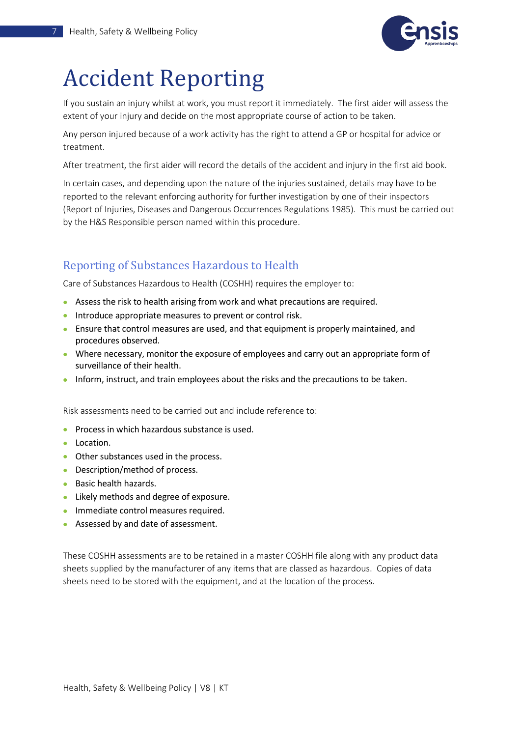

# <span id="page-7-0"></span>Accident Reporting

If you sustain an injury whilst at work, you must report it immediately. The first aider will assess the extent of your injury and decide on the most appropriate course of action to be taken.

Any person injured because of a work activity has the right to attend a GP or hospital for advice or treatment.

After treatment, the first aider will record the details of the accident and injury in the first aid book.

In certain cases, and depending upon the nature of the injuries sustained, details may have to be reported to the relevant enforcing authority for further investigation by one of their inspectors (Report of Injuries, Diseases and Dangerous Occurrences Regulations 1985). This must be carried out by the H&S Responsible person named within this procedure.

#### <span id="page-7-1"></span>Reporting of Substances Hazardous to Health

Care of Substances Hazardous to Health (COSHH) requires the employer to:

- Assess the risk to health arising from work and what precautions are required.
- Introduce appropriate measures to prevent or control risk.
- Ensure that control measures are used, and that equipment is properly maintained, and procedures observed.
- Where necessary, monitor the exposure of employees and carry out an appropriate form of surveillance of their health.
- Inform, instruct, and train employees about the risks and the precautions to be taken.

Risk assessments need to be carried out and include reference to:

- Process in which hazardous substance is used.
- Location.
- Other substances used in the process.
- Description/method of process.
- Basic health hazards.
- Likely methods and degree of exposure.
- Immediate control measures required.
- Assessed by and date of assessment.

These COSHH assessments are to be retained in a master COSHH file along with any product data sheets supplied by the manufacturer of any items that are classed as hazardous. Copies of data sheets need to be stored with the equipment, and at the location of the process.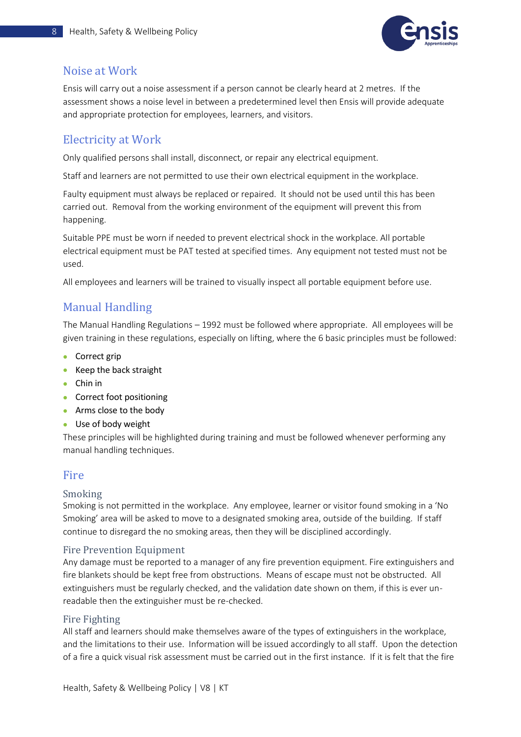

### <span id="page-8-0"></span>Noise at Work

Ensis will carry out a noise assessment if a person cannot be clearly heard at 2 metres. If the assessment shows a noise level in between a predetermined level then Ensis will provide adequate and appropriate protection for employees, learners, and visitors.

### <span id="page-8-1"></span>Electricity at Work

Only qualified persons shall install, disconnect, or repair any electrical equipment.

Staff and learners are not permitted to use their own electrical equipment in the workplace.

Faulty equipment must always be replaced or repaired. It should not be used until this has been carried out. Removal from the working environment of the equipment will prevent this from happening.

Suitable PPE must be worn if needed to prevent electrical shock in the workplace. All portable electrical equipment must be PAT tested at specified times. Any equipment not tested must not be used.

All employees and learners will be trained to visually inspect all portable equipment before use.

#### <span id="page-8-2"></span>Manual Handling

The Manual Handling Regulations – 1992 must be followed where appropriate. All employees will be given training in these regulations, especially on lifting, where the 6 basic principles must be followed:

- Correct grip
- Keep the back straight
- Chin in
- Correct foot positioning
- Arms close to the body
- Use of body weight

These principles will be highlighted during training and must be followed whenever performing any manual handling techniques.

#### <span id="page-8-3"></span>Fire

#### <span id="page-8-4"></span>Smoking

Smoking is not permitted in the workplace. Any employee, learner or visitor found smoking in a 'No Smoking' area will be asked to move to a designated smoking area, outside of the building. If staff continue to disregard the no smoking areas, then they will be disciplined accordingly.

#### <span id="page-8-5"></span>Fire Prevention Equipment

Any damage must be reported to a manager of any fire prevention equipment. Fire extinguishers and fire blankets should be kept free from obstructions. Means of escape must not be obstructed. All extinguishers must be regularly checked, and the validation date shown on them, if this is ever unreadable then the extinguisher must be re-checked.

#### <span id="page-8-6"></span>Fire Fighting

All staff and learners should make themselves aware of the types of extinguishers in the workplace, and the limitations to their use. Information will be issued accordingly to all staff. Upon the detection of a fire a quick visual risk assessment must be carried out in the first instance. If it is felt that the fire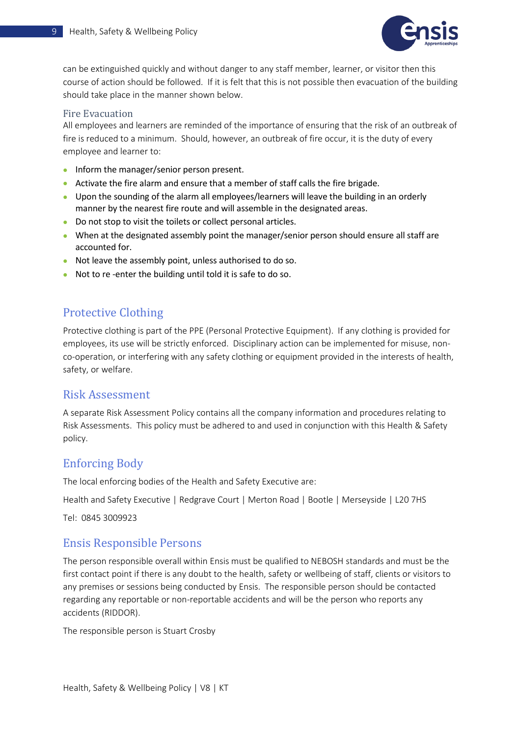

can be extinguished quickly and without danger to any staff member, learner, or visitor then this course of action should be followed. If it is felt that this is not possible then evacuation of the building should take place in the manner shown below.

#### <span id="page-9-0"></span>Fire Evacuation

All employees and learners are reminded of the importance of ensuring that the risk of an outbreak of fire is reduced to a minimum. Should, however, an outbreak of fire occur, it is the duty of every employee and learner to:

- Inform the manager/senior person present.
- Activate the fire alarm and ensure that a member of staff calls the fire brigade.
- Upon the sounding of the alarm all employees/learners will leave the building in an orderly manner by the nearest fire route and will assemble in the designated areas.
- Do not stop to visit the toilets or collect personal articles.
- When at the designated assembly point the manager/senior person should ensure all staff are accounted for.
- Not leave the assembly point, unless authorised to do so.
- Not to re-enter the building until told it is safe to do so.

#### <span id="page-9-1"></span>Protective Clothing

Protective clothing is part of the PPE (Personal Protective Equipment). If any clothing is provided for employees, its use will be strictly enforced. Disciplinary action can be implemented for misuse, nonco-operation, or interfering with any safety clothing or equipment provided in the interests of health, safety, or welfare.

#### <span id="page-9-2"></span>Risk Assessment

A separate Risk Assessment Policy contains all the company information and procedures relating to Risk Assessments. This policy must be adhered to and used in conjunction with this Health & Safety policy.

#### <span id="page-9-3"></span>Enforcing Body

The local enforcing bodies of the Health and Safety Executive are:

Health and Safety Executive | Redgrave Court | Merton Road | Bootle | Merseyside | L20 7HS

Tel: 0845 3009923

#### <span id="page-9-4"></span>Ensis Responsible Persons

The person responsible overall within Ensis must be qualified to NEBOSH standards and must be the first contact point if there is any doubt to the health, safety or wellbeing of staff, clients or visitors to any premises or sessions being conducted by Ensis. The responsible person should be contacted regarding any reportable or non-reportable accidents and will be the person who reports any accidents (RIDDOR).

The responsible person is Stuart Crosby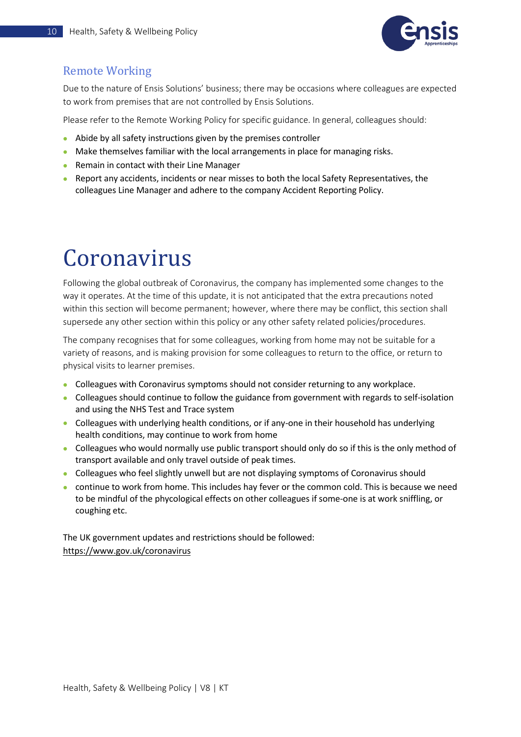

### <span id="page-10-0"></span>Remote Working

Due to the nature of Ensis Solutions' business; there may be occasions where colleagues are expected to work from premises that are not controlled by Ensis Solutions.

Please refer to the Remote Working Policy for specific guidance. In general, colleagues should:

- Abide by all safety instructions given by the premises controller
- Make themselves familiar with the local arrangements in place for managing risks.
- Remain in contact with their Line Manager
- Report any accidents, incidents or near misses to both the local Safety Representatives, the colleagues Line Manager and adhere to the company Accident Reporting Policy.

# <span id="page-10-1"></span>Coronavirus

Following the global outbreak of Coronavirus, the company has implemented some changes to the way it operates. At the time of this update, it is not anticipated that the extra precautions noted within this section will become permanent; however, where there may be conflict, this section shall supersede any other section within this policy or any other safety related policies/procedures.

The company recognises that for some colleagues, working from home may not be suitable for a variety of reasons, and is making provision for some colleagues to return to the office, or return to physical visits to learner premises.

- Colleagues with Coronavirus symptoms should not consider returning to any workplace.
- Colleagues should continue to follow the guidance from government with regards to self-isolation and using the NHS Test and Trace system
- Colleagues with underlying health conditions, or if any-one in their household has underlying health conditions, may continue to work from home
- Colleagues who would normally use public transport should only do so if this is the only method of transport available and only travel outside of peak times.
- Colleagues who feel slightly unwell but are not displaying symptoms of Coronavirus should
- continue to work from home. This includes hay fever or the common cold. This is because we need to be mindful of the phycological effects on other colleagues if some-one is at work sniffling, or coughing etc.

The UK government updates and restrictions should be followed: <https://www.gov.uk/coronavirus>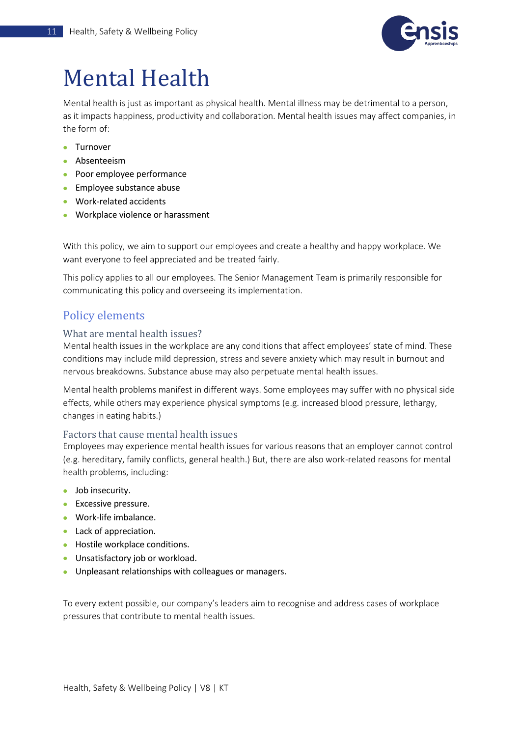

# <span id="page-11-0"></span>Mental Health

Mental health is just as important as physical health. Mental illness may be detrimental to a person, as it impacts happiness, productivity and collaboration. Mental health issues may affect companies, in the form of:

- Turnover
- Absenteeism
- Poor employee performance
- Employee substance abuse
- Work-related accidents
- Workplace violence or harassment

With this policy, we aim to support our employees and create a healthy and happy workplace. We want everyone to feel appreciated and be treated fairly.

This policy applies to all our employees. The Senior Management Team is primarily responsible for communicating this policy and overseeing its implementation.

#### <span id="page-11-1"></span>Policy elements

#### <span id="page-11-2"></span>What are mental health issues?

Mental health issues in the workplace are any conditions that affect employees' state of mind. These conditions may include mild depression, stress and severe anxiety which may result in burnout and nervous breakdowns. Substance abuse may also perpetuate mental health issues.

Mental health problems manifest in different ways. Some employees may suffer with no physical side effects, while others may experience physical symptoms (e.g. increased blood pressure, lethargy, changes in eating habits.)

#### <span id="page-11-3"></span>Factors that cause mental health issues

Employees may experience mental health issues for various reasons that an employer cannot control (e.g. hereditary, family conflicts, general health.) But, there are also work-related reasons for mental health problems, including:

- Job insecurity.
- Excessive pressure.
- Work-life imbalance.
- Lack of appreciation.
- Hostile workplace conditions.
- Unsatisfactory job or workload.
- Unpleasant relationships with colleagues or managers.

To every extent possible, our company's leaders aim to recognise and address cases of workplace pressures that contribute to mental health issues.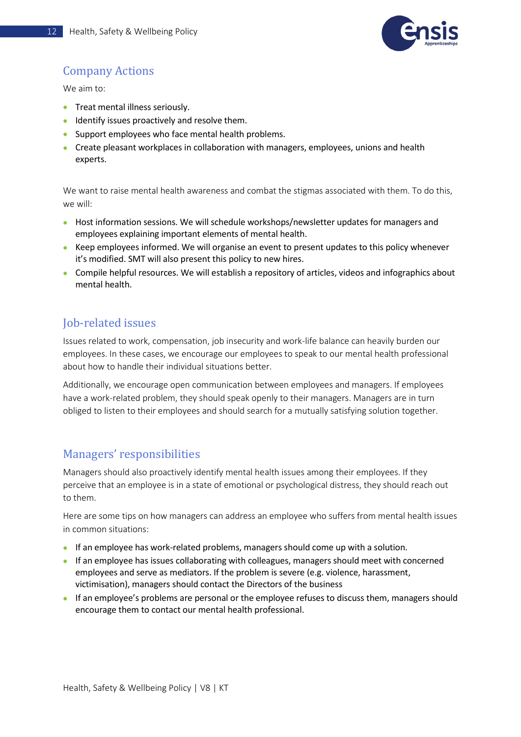

### <span id="page-12-0"></span>Company Actions

We aim to:

- Treat mental illness seriously.
- Identify issues proactively and resolve them.
- Support employees who face mental health problems.
- Create pleasant workplaces in collaboration with managers, employees, unions and health experts.

We want to raise mental health awareness and combat the stigmas associated with them. To do this, we will:

- Host information sessions. We will schedule workshops/newsletter updates for managers and employees explaining important elements of mental health.
- Keep employees informed. We will organise an event to present updates to this policy whenever it's modified. SMT will also present this policy to new hires.
- Compile helpful resources. We will establish a repository of articles, videos and infographics about mental health.

#### <span id="page-12-1"></span>Job-related issues

Issues related to work, compensation, job insecurity and work-life balance can heavily burden our employees. In these cases, we encourage our employees to speak to our mental health professional about how to handle their individual situations better.

Additionally, we encourage open communication between employees and managers. If employees have a work-related problem, they should speak openly to their managers. Managers are in turn obliged to listen to their employees and should search for a mutually satisfying solution together.

### <span id="page-12-2"></span>Managers' responsibilities

Managers should also proactively identify mental health issues among their employees. If they perceive that an employee is in a state of emotional or psychological distress, they should reach out to them.

Here are some tips on how managers can address an employee who suffers from mental health issues in common situations:

- If an employee has work-related problems, managers should come up with a solution.
- If an employee has issues collaborating with colleagues, managers should meet with concerned employees and serve as mediators. If the problem is severe (e.g. violence, harassment, victimisation), managers should contact the Directors of the business
- If an employee's problems are personal or the employee refuses to discuss them, managers should encourage them to contact our mental health professional.